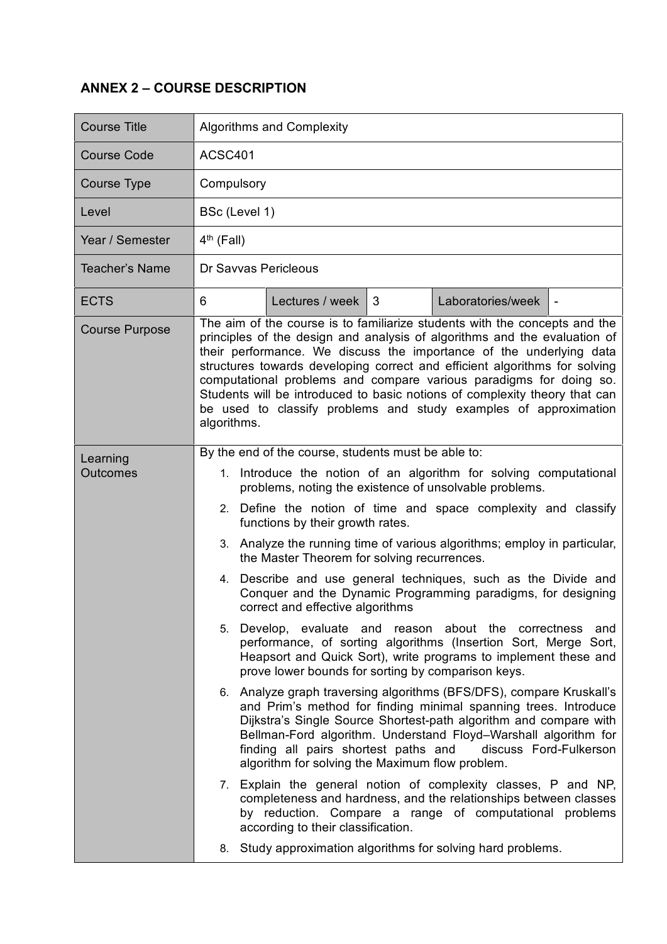## **ANNEX 2 – COURSE DESCRIPTION**

| <b>Course Title</b>   | <b>Algorithms and Complexity</b>                                                                                                                                                                                                                                                                                                                                                                                                                                                                                                                    |  |  |  |
|-----------------------|-----------------------------------------------------------------------------------------------------------------------------------------------------------------------------------------------------------------------------------------------------------------------------------------------------------------------------------------------------------------------------------------------------------------------------------------------------------------------------------------------------------------------------------------------------|--|--|--|
| <b>Course Code</b>    | ACSC401                                                                                                                                                                                                                                                                                                                                                                                                                                                                                                                                             |  |  |  |
| Course Type           | Compulsory                                                                                                                                                                                                                                                                                                                                                                                                                                                                                                                                          |  |  |  |
| Level                 | BSc (Level 1)                                                                                                                                                                                                                                                                                                                                                                                                                                                                                                                                       |  |  |  |
| Year / Semester       | $4th$ (Fall)                                                                                                                                                                                                                                                                                                                                                                                                                                                                                                                                        |  |  |  |
| <b>Teacher's Name</b> | Dr Savvas Pericleous                                                                                                                                                                                                                                                                                                                                                                                                                                                                                                                                |  |  |  |
| <b>ECTS</b>           | Lectures / week $\vert$ 3<br>Laboratories/week<br>6<br>$\overline{\phantom{a}}$                                                                                                                                                                                                                                                                                                                                                                                                                                                                     |  |  |  |
| <b>Course Purpose</b> | The aim of the course is to familiarize students with the concepts and the<br>principles of the design and analysis of algorithms and the evaluation of<br>their performance. We discuss the importance of the underlying data<br>structures towards developing correct and efficient algorithms for solving<br>computational problems and compare various paradigms for doing so.<br>Students will be introduced to basic notions of complexity theory that can<br>be used to classify problems and study examples of approximation<br>algorithms. |  |  |  |
| Learning<br>Outcomes  | By the end of the course, students must be able to:                                                                                                                                                                                                                                                                                                                                                                                                                                                                                                 |  |  |  |
|                       | 1. Introduce the notion of an algorithm for solving computational<br>problems, noting the existence of unsolvable problems.                                                                                                                                                                                                                                                                                                                                                                                                                         |  |  |  |
|                       | 2. Define the notion of time and space complexity and classify<br>functions by their growth rates.                                                                                                                                                                                                                                                                                                                                                                                                                                                  |  |  |  |
|                       | 3. Analyze the running time of various algorithms; employ in particular,<br>the Master Theorem for solving recurrences.                                                                                                                                                                                                                                                                                                                                                                                                                             |  |  |  |
|                       | 4. Describe and use general techniques, such as the Divide and<br>Conquer and the Dynamic Programming paradigms, for designing<br>correct and effective algorithms                                                                                                                                                                                                                                                                                                                                                                                  |  |  |  |
|                       | Develop, evaluate and reason about the correctness<br>5.<br>and<br>performance, of sorting algorithms (Insertion Sort, Merge Sort,<br>Heapsort and Quick Sort), write programs to implement these and<br>prove lower bounds for sorting by comparison keys.                                                                                                                                                                                                                                                                                         |  |  |  |
|                       | Analyze graph traversing algorithms (BFS/DFS), compare Kruskall's<br>6.<br>and Prim's method for finding minimal spanning trees. Introduce<br>Dijkstra's Single Source Shortest-path algorithm and compare with<br>Bellman-Ford algorithm. Understand Floyd-Warshall algorithm for<br>finding all pairs shortest paths and<br>discuss Ford-Fulkerson<br>algorithm for solving the Maximum flow problem.                                                                                                                                             |  |  |  |
|                       | 7. Explain the general notion of complexity classes, P and NP,<br>completeness and hardness, and the relationships between classes<br>by reduction. Compare a range of computational problems<br>according to their classification.                                                                                                                                                                                                                                                                                                                 |  |  |  |
|                       | Study approximation algorithms for solving hard problems.<br>8.                                                                                                                                                                                                                                                                                                                                                                                                                                                                                     |  |  |  |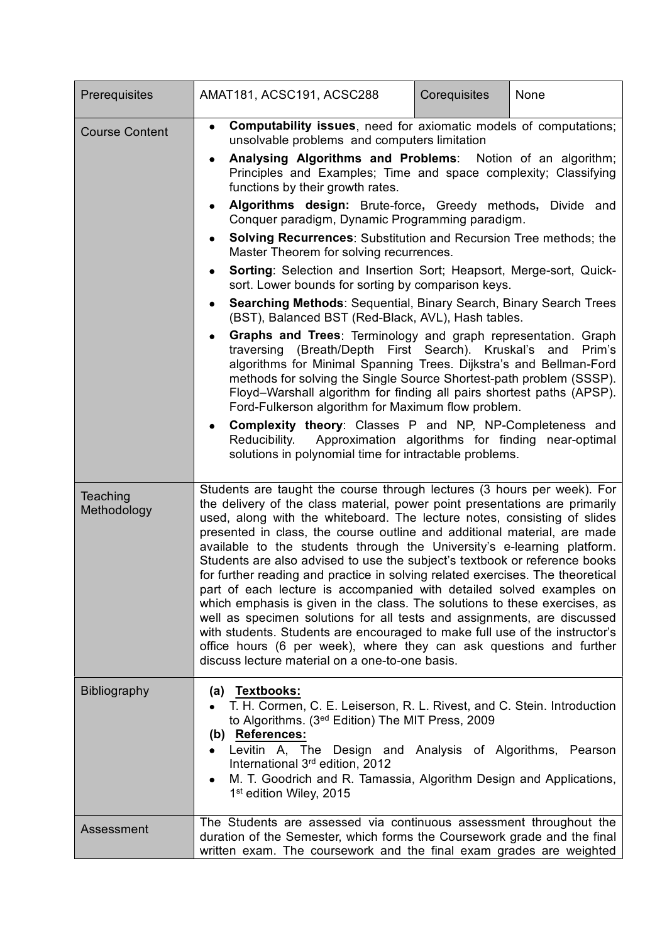| Prerequisites           | AMAT181, ACSC191, ACSC288                                                                                                                                                                                                                                                                                                                                                                                                                                                                                                                                                                                                                                                                                                                                                                                                                                                                                                                                                                                                                                                                                                                                                                                                                                                                                                                                                                                                                                                                | Corequisites | None   |
|-------------------------|------------------------------------------------------------------------------------------------------------------------------------------------------------------------------------------------------------------------------------------------------------------------------------------------------------------------------------------------------------------------------------------------------------------------------------------------------------------------------------------------------------------------------------------------------------------------------------------------------------------------------------------------------------------------------------------------------------------------------------------------------------------------------------------------------------------------------------------------------------------------------------------------------------------------------------------------------------------------------------------------------------------------------------------------------------------------------------------------------------------------------------------------------------------------------------------------------------------------------------------------------------------------------------------------------------------------------------------------------------------------------------------------------------------------------------------------------------------------------------------|--------------|--------|
| <b>Course Content</b>   | <b>Computability issues, need for axiomatic models of computations;</b><br>$\bullet$<br>unsolvable problems and computers limitation<br>Analysing Algorithms and Problems: Notion of an algorithm;<br>$\bullet$<br>Principles and Examples; Time and space complexity; Classifying<br>functions by their growth rates.<br>Algorithms design: Brute-force, Greedy methods, Divide and<br>$\bullet$<br>Conquer paradigm, Dynamic Programming paradigm.<br><b>Solving Recurrences:</b> Substitution and Recursion Tree methods; the<br>Master Theorem for solving recurrences.<br>Sorting: Selection and Insertion Sort; Heapsort, Merge-sort, Quick-<br>٠<br>sort. Lower bounds for sorting by comparison keys.<br><b>Searching Methods: Sequential, Binary Search, Binary Search Trees</b><br>$\bullet$<br>(BST), Balanced BST (Red-Black, AVL), Hash tables.<br>Graphs and Trees: Terminology and graph representation. Graph<br>$\bullet$<br>traversing (Breath/Depth First Search). Kruskal's and<br>algorithms for Minimal Spanning Trees. Dijkstra's and Bellman-Ford<br>methods for solving the Single Source Shortest-path problem (SSSP).<br>Floyd-Warshall algorithm for finding all pairs shortest paths (APSP).<br>Ford-Fulkerson algorithm for Maximum flow problem.<br>Complexity theory: Classes P and NP, NP-Completeness and<br>$\bullet$<br>Approximation algorithms for finding near-optimal<br>Reducibility.<br>solutions in polynomial time for intractable problems. |              | Prim's |
| Teaching<br>Methodology | Students are taught the course through lectures (3 hours per week). For<br>the delivery of the class material, power point presentations are primarily<br>used, along with the whiteboard. The lecture notes, consisting of slides<br>presented in class, the course outline and additional material, are made<br>available to the students through the University's e-learning platform.<br>Students are also advised to use the subject's textbook or reference books<br>for further reading and practice in solving related exercises. The theoretical<br>part of each lecture is accompanied with detailed solved examples on<br>which emphasis is given in the class. The solutions to these exercises, as<br>well as specimen solutions for all tests and assignments, are discussed<br>with students. Students are encouraged to make full use of the instructor's<br>office hours (6 per week), where they can ask questions and further<br>discuss lecture material on a one-to-one basis.                                                                                                                                                                                                                                                                                                                                                                                                                                                                                      |              |        |
| <b>Bibliography</b>     | (a) Textbooks:<br>T. H. Cormen, C. E. Leiserson, R. L. Rivest, and C. Stein. Introduction<br>to Algorithms. (3 <sup>ed</sup> Edition) The MIT Press, 2009<br>(b) References:<br>Levitin A, The Design and Analysis of Algorithms, Pearson<br>International 3rd edition, 2012<br>M. T. Goodrich and R. Tamassia, Algorithm Design and Applications,<br>$\bullet$<br>1 <sup>st</sup> edition Wiley, 2015                                                                                                                                                                                                                                                                                                                                                                                                                                                                                                                                                                                                                                                                                                                                                                                                                                                                                                                                                                                                                                                                                   |              |        |
| Assessment              | The Students are assessed via continuous assessment throughout the<br>duration of the Semester, which forms the Coursework grade and the final<br>written exam. The coursework and the final exam grades are weighted                                                                                                                                                                                                                                                                                                                                                                                                                                                                                                                                                                                                                                                                                                                                                                                                                                                                                                                                                                                                                                                                                                                                                                                                                                                                    |              |        |